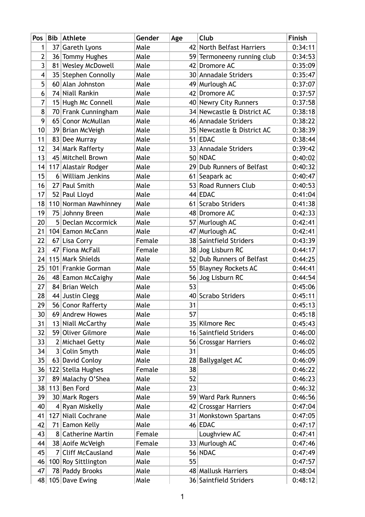| Pos            | <b>Bib Athlete</b>   | Gender | Age | Club                       | Finish  |
|----------------|----------------------|--------|-----|----------------------------|---------|
| 1              | 37 Gareth Lyons      | Male   |     | 42 North Belfast Harriers  | 0:34:11 |
| $\overline{2}$ | 36 Tommy Hughes      | Male   |     | 59 Termoneeny running club | 0:34:53 |
| 3              | 81 Wesley McDowell   | Male   |     | 42 Dromore AC              | 0:35:09 |
| $\overline{4}$ | 35 Stephen Connolly  | Male   |     | 30 Annadale Striders       | 0:35:47 |
| 5              | 60 Alan Johnston     | Male   |     | 49 Murlough AC             | 0:37:07 |
| 6              | 74 Niall Rankin      | Male   |     | 42 Dromore AC              | 0:37:57 |
| 7              | 15 Hugh Mc Connell   | Male   |     | 40 Newry City Runners      | 0:37:58 |
| 8              | 70 Frank Cunningham  | Male   |     | 34 Newcastle & District AC | 0:38:18 |
| 9              | 65 Conor McMullan    | Male   |     | 46 Annadale Striders       | 0:38:22 |
| 10             | 39 Brian McVeigh     | Male   |     | 35 Newcastle & District AC | 0:38:39 |
| 11             | 83 Dee Murray        | Male   |     | 51 EDAC                    | 0:38:44 |
| 12             | 34 Mark Rafferty     | Male   |     | 33 Annadale Striders       | 0:39:42 |
| 13             | 45 Mitchell Brown    | Male   |     | 50 NDAC                    | 0:40:02 |
| 14             | 117 Alastair Rodger  | Male   |     | 29 Dub Runners of Belfast  | 0:40:32 |
| 15             | 6 William Jenkins    | Male   |     | 61 Seapark ac              | 0:40:47 |
| 16             | 27 Paul Smith        | Male   |     | 53 Road Runners Club       | 0:40:53 |
| 17             | 52 Paul Lloyd        | Male   |     | 44 EDAC                    | 0:41:04 |
| 18             | 110 Norman Mawhinney | Male   |     | 61 Scrabo Striders         | 0:41:38 |
| 19             | 75 Johnny Breen      | Male   |     | 48 Dromore AC              | 0:42:33 |
| 20             | 5 Declan Mccormick   | Male   |     | 57 Murlough AC             | 0:42:41 |
| 21             | 104 Eamon McCann     | Male   | 47  | Murlough AC                | 0:42:41 |
| 22             | 67 Lisa Corry        | Female |     | 38 Saintfield Striders     | 0:43:39 |
| 23             | 47 Fiona McFall      | Female |     | 38 Jog Lisburn RC          | 0:44:17 |
| 24             | 115 Mark Shields     | Male   |     | 52 Dub Runners of Belfast  | 0:44:25 |
| 25             | 101 Frankie Gorman   | Male   | 55  | <b>Blayney Rockets AC</b>  | 0:44:41 |
| 26             | 48 Eamon McCaighy    | Male   |     | 56 Jog Lisburn RC          | 0:44:54 |
| 27             | 84 Brian Welch       | Male   | 53  |                            | 0:45:06 |
| 28             | 44 Justin Clegg      | Male   |     | 40 Scrabo Striders         | 0:45:11 |
| 29             | 56 Conor Rafferty    | Male   | 31  |                            | 0:45:13 |
| 30             | 69 Andrew Howes      | Male   | 57  |                            | 0:45:18 |
| 31             | 13 Niall McCarthy    | Male   |     | 35 Kilmore Rec             | 0:45:43 |
| 32             | 59 Oliver Gilmore    | Male   |     | 16 Saintfield Striders     | 0:46:00 |
| 33             | 2 Michael Getty      | Male   |     | 56 Crossgar Harriers       | 0:46:02 |
| 34             | 3 Colin Smyth        | Male   | 31  |                            | 0:46:05 |
| 35             | 63 David Conloy      | Male   |     | 28 Ballygalget AC          | 0:46:09 |
| 36             | 122 Stella Hughes    | Female | 38  |                            | 0:46:22 |
| 37             | 89 Malachy O'Shea    | Male   | 52  |                            | 0:46:23 |
| 38             | 113 Ben Ford         | Male   | 23  |                            | 0:46:32 |
| 39             | 30 Mark Rogers       | Male   |     | 59 Ward Park Runners       | 0:46:56 |
| 40             | 4 Ryan Miskelly      | Male   |     | 42 Crossgar Harriers       | 0:47:04 |
| 41             | 127 Niall Cochrane   | Male   |     | 31 Monkstown Spartans      | 0:47:05 |
| 42             | 71 Eamon Kelly       | Male   |     | $46$ EDAC                  | 0:47:17 |
| 43             | 8 Catherine Martin   | Female |     | Loughview AC               | 0:47:41 |
| 44             | 38 Aoife McVeigh     | Female |     | 33 Murlough AC             | 0:47:46 |
| 45             | 7 Cliff McCausland   | Male   |     | 56 NDAC                    | 0:47:49 |
| 46             | 100 Roy Sittlington  | Male   | 55  |                            | 0:47:57 |
| 47             | 78 Paddy Brooks      | Male   |     | 48 Mallusk Harriers        | 0:48:04 |
|                | 48 $105$ Dave Ewing  | Male   |     | 36 Saintfield Striders     | 0:48:12 |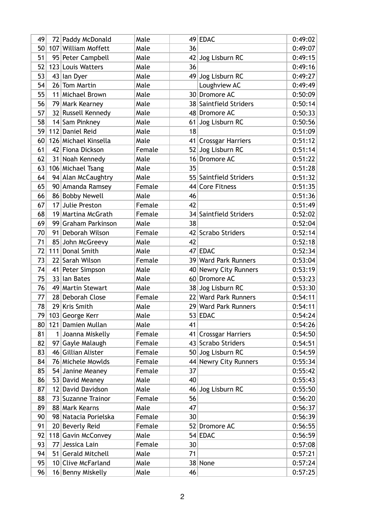| 49 | 72 Paddy McDonald    | Male   |    | $49$ EDAC                | 0:49:02 |
|----|----------------------|--------|----|--------------------------|---------|
| 50 | 107 William Moffett  | Male   | 36 |                          | 0:49:07 |
| 51 | 95 Peter Campbell    | Male   |    | 42 Jog Lisburn RC        | 0:49:15 |
| 52 | 123 Louis Watters    | Male   | 36 |                          | 0:49:16 |
| 53 | 43 Ian Dyer          | Male   |    | 49 Jog Lisburn RC        | 0:49:27 |
| 54 | 26 Tom Martin        | Male   |    | Loughview AC             | 0:49:49 |
| 55 | 11 Michael Brown     | Male   |    | 30 Dromore AC            | 0:50:09 |
| 56 | 79 Mark Kearney      | Male   |    | 38 Saintfield Striders   | 0:50:14 |
| 57 | 32 Russell Kennedy   | Male   |    | 48 Dromore AC            | 0:50:33 |
| 58 | 14 Sam Pinkney       | Male   |    | 61 Jog Lisburn RC        | 0:50:56 |
| 59 | 112 Daniel Reid      | Male   | 18 |                          | 0:51:09 |
| 60 | 126 Michael Kinsella | Male   |    | 41 Crossgar Harriers     | 0:51:12 |
| 61 | 42 Fiona Dickson     | Female |    | 52 Jog Lisburn RC        | 0:51:14 |
| 62 | 31 Noah Kennedy      | Male   |    | 16 Dromore AC            | 0:51:22 |
| 63 | 106 Michael Tsang    | Male   | 35 |                          | 0:51:28 |
| 64 | 94 Alan McCaughtry   | Male   |    | 55 Saintfield Striders   | 0:51:32 |
| 65 | 90 Amanda Ramsey     | Female |    | 44 Core Fitness          | 0:51:35 |
| 66 | 86 Bobby Newell      | Male   | 46 |                          | 0:51:36 |
| 67 | 17 Julie Preston     | Female | 42 |                          | 0:51:49 |
| 68 | 19 Martina McGrath   | Female |    | 34 Saintfield Striders   | 0:52:02 |
| 69 | 99 Graham Parkinson  | Male   | 38 |                          | 0:52:04 |
| 70 | 91 Deborah Wilson    | Female |    | 42 Scrabo Striders       | 0:52:14 |
| 71 | 85 John McGreevy     | Male   | 42 |                          | 0:52:18 |
| 72 | 111 Donal Smith      | Male   |    | 47 EDAC                  | 0:52:34 |
| 73 | 22 Sarah Wilson      | Female |    | 39 Ward Park Runners     | 0:53:04 |
| 74 | 41 Peter Simpson     | Male   |    | 40 Newry City Runners    | 0:53:19 |
| 75 | 33 Ian Bates         | Male   |    | 60 Dromore AC            | 0:53:23 |
| 76 | 49 Martin Stewart    | Male   |    | 38 Jog Lisburn RC        | 0:53:30 |
| 77 | 28 Deborah Close     | Female |    | 22 Ward Park Runners     | 0:54:11 |
| 78 | 29 Kris Smith        | Male   |    | 29 Ward Park Runners     | 0:54:11 |
| 79 | 103 George Kerr      | Male   |    | 53 EDAC                  | 0:54:24 |
| 80 | 121 Damien Mullan    | Male   | 41 |                          | 0:54:26 |
|    |                      |        |    |                          |         |
| 81 | 1 Joanna Miskelly    | Female | 41 | <b>Crossgar Harriers</b> | 0:54:50 |
| 82 | 97 Gayle Malaugh     | Female |    | 43 Scrabo Striders       | 0:54:51 |
| 83 | 46 Gillian Alister   | Female |    | 50 Jog Lisburn RC        | 0:54:59 |
| 84 | 76 Michele Mowlds    | Female |    | 44 Newry City Runners    | 0:55:34 |
| 85 | 54 Janine Meaney     | Female | 37 |                          | 0:55:42 |
| 86 | 53 David Meaney      | Male   | 40 |                          | 0:55:43 |
| 87 | 12 David Davidson    | Male   |    | 46 Jog Lisburn RC        | 0:55:50 |
| 88 | 73 Suzanne Trainor   | Female | 56 |                          | 0:56:20 |
| 89 | 88 Mark Kearns       | Male   | 47 |                          | 0:56:37 |
| 90 | 98 Natacia Porielska | Female | 30 |                          | 0:56:39 |
| 91 | 20 Beverly Reid      | Female |    | 52 Dromore AC            | 0:56:55 |
| 92 | 118 Gavin McConvey   | Male   |    | $54$ EDAC                | 0:56:59 |
| 93 | 77 Jessica Lain      | Female | 30 |                          | 0:57:08 |
| 94 | 51 Gerald Mitchell   | Male   | 71 |                          | 0:57:21 |
| 95 | 10 Clive McFarland   | Male   |    | 38 None                  | 0:57:24 |
| 96 | 16 Benny Miskelly    | Male   | 46 |                          | 0:57:25 |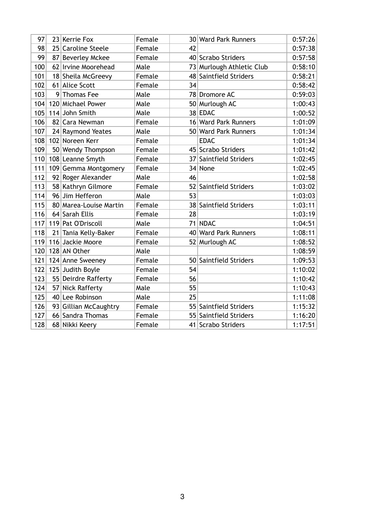| 97  | 23 Kerrie Fox          | Female |    | 30 Ward Park Runners      | 0:57:26 |
|-----|------------------------|--------|----|---------------------------|---------|
| 98  | 25 Caroline Steele     | Female | 42 |                           | 0:57:38 |
| 99  | 87 Beverley Mckee      | Female |    | 40 Scrabo Striders        | 0:57:58 |
| 100 | 62 Irvine Moorehead    | Male   |    | 73 Murlough Athletic Club | 0:58:10 |
| 101 | 18 Sheila McGreevy     | Female |    | 48 Saintfield Striders    | 0:58:21 |
| 102 | 61 Alice Scott         | Female | 34 |                           | 0:58:42 |
| 103 | 9 Thomas Fee           | Male   |    | 78 Dromore AC             | 0:59:03 |
| 104 | 120 Michael Power      | Male   |    | 50 Murlough AC            | 1:00:43 |
| 105 | 114 John Smith         | Male   |    | 38 EDAC                   | 1:00:52 |
| 106 | 82 Cara Newman         | Female |    | 16 Ward Park Runners      | 1:01:09 |
| 107 | 24 Raymond Yeates      | Male   |    | 50 Ward Park Runners      | 1:01:34 |
| 108 | 102 Noreen Kerr        | Female |    | <b>EDAC</b>               | 1:01:34 |
| 109 | 50 Wendy Thompson      | Female |    | 45 Scrabo Striders        | 1:01:42 |
| 110 | 108 Leanne Smyth       | Female |    | 37 Saintfield Striders    | 1:02:45 |
| 111 | 109 Gemma Montgomery   | Female |    | 34 None                   | 1:02:45 |
| 112 | 92 Roger Alexander     | Male   | 46 |                           | 1:02:58 |
| 113 | 58 Kathryn Gilmore     | Female |    | 52 Saintfield Striders    | 1:03:02 |
| 114 | 96 Jim Hefferon        | Male   | 53 |                           | 1:03:03 |
| 115 | 80 Marea-Louise Martin | Female |    | 38 Saintfield Striders    | 1:03:11 |
| 116 | 64 Sarah Ellis         | Female | 28 |                           | 1:03:19 |
| 117 | 119 Pat O'Driscoll     | Male   |    | 71 NDAC                   | 1:04:51 |
| 118 | 21 Tania Kelly-Baker   | Female |    | 40 Ward Park Runners      | 1:08:11 |
| 119 | 116 Jackie Moore       | Female |    | 52 Murlough AC            | 1:08:52 |
| 120 | 128 AN Other           | Male   |    |                           | 1:08:59 |
| 121 | 124 Anne Sweeney       | Female |    | 50 Saintfield Striders    | 1:09:53 |
| 122 | 125 Judith Boyle       | Female | 54 |                           | 1:10:02 |
| 123 | 55 Deirdre Rafferty    | Female | 56 |                           | 1:10:42 |
| 124 | 57 Nick Rafferty       | Male   | 55 |                           | 1:10:43 |
| 125 | 40 Lee Robinson        | Male   | 25 |                           | 1:11:08 |
| 126 | 93 Gillian McCaughtry  | Female |    | 55 Saintfield Striders    | 1:15:32 |
| 127 | 66 Sandra Thomas       | Female |    | 55 Saintfield Striders    | 1:16:20 |
| 128 | 68 Nikki Keery         | Female |    | 41 Scrabo Striders        | 1:17:51 |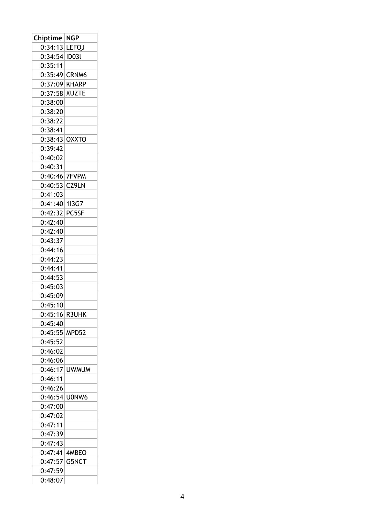| Chiptime | NGP              |
|----------|------------------|
| 0:34:13  | <b>LEFQJ</b>     |
| 0:34:54  | ID <sub>03</sub> |
| 0:35:11  |                  |
| 0:35:49  | CRNM6            |
| 0:37:09  | <b>KHARP</b>     |
| 0:37:58  | <b>XUZTE</b>     |
| 0:38:00  |                  |
| 0:38:20  |                  |
| 0:38:22  |                  |
| 0:38:41  |                  |
| 0:38:43  | <b>OXXTO</b>     |
| 0:39:42  |                  |
| 0:40:02  |                  |
| 0:40:31  |                  |
| 0:40:46  | <b>7FVPM</b>     |
| 0:40:53  | CZ9LN            |
| 0:41:03  |                  |
| 0:41:40  | 113G7            |
| 0:42:32  | PC5SF            |
| 0:42:40  |                  |
| 0:42:40  |                  |
| 0:43:37  |                  |
| 0:44:16  |                  |
| 0:44:23  |                  |
| 0:44:41  |                  |
|          |                  |
| 0:44:53  |                  |
| 0:45:03  |                  |
| 0:45:09  |                  |
| 0:45:10  |                  |
| 0:45:16  | R3UHK            |
| 0:45:40  |                  |
| 0:45:55  | MPD52            |
| 0:45:52  |                  |
| 0:46:02  |                  |
| 0:46:06  |                  |
| 0:46:17  | <b>UWMUM</b>     |
| 0:46:11  |                  |
| 0:46:26  |                  |
| 0:46:54  | U0NW6            |
| 0:47:00  |                  |
| 0:47:02  |                  |
| 0:47:11  |                  |
| 0:47:39  |                  |
| 0:47:43  |                  |
| 0:47:41  | 4MBEO            |
| 0:47:57  | G5NCT            |
| 0:47:59  |                  |
| 0:48:07  |                  |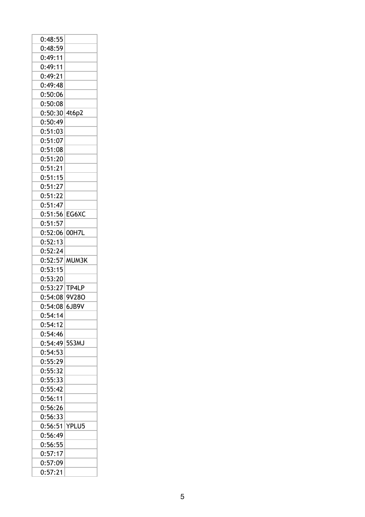| 0:48:55            |       |
|--------------------|-------|
| 0:48:59            |       |
| 0:49:11            |       |
| 0:49:11            |       |
| 0:49:21            |       |
| 0:49:48            |       |
| 0:50:06            |       |
| 0:50:08            |       |
| 0:50:30 4t6p2      |       |
| 0:50:49            |       |
| 0:51:03            |       |
| 0:51:07            |       |
| 0:51:08            |       |
| 0:51:20            |       |
| 0:51:21            |       |
| 0:51:15            |       |
| 0:51:27            |       |
| 0:51:22            |       |
| 0:51:47            |       |
| 0:51:56            | EG6XC |
| 0:51:57            |       |
| 0:52:06            | 00H7L |
| 0:52:13            |       |
| 0:52:24            |       |
|                    |       |
| 0:52:57            | MUM3K |
| 0:53:15            |       |
| 0:53:20            |       |
| 0:53:27 TP4LP      |       |
| 0:54:08            | 9V28O |
| 0:54:08            | 6JB9V |
| 0:54:14            |       |
| 0:54:12            |       |
| 0:54:46            |       |
| 0:54:49            | 5S3MJ |
| 0:54:53            |       |
| 0:55:29            |       |
| 0:55:32            |       |
| 0:55:33            |       |
| 0:55:42            |       |
| 0:56:11            |       |
| 0:56:26            |       |
| 0:56:33            |       |
| 0:56:51            | YPLU5 |
| 0:56:49            |       |
| 0:56:55            |       |
| 0:57:17            |       |
| 0:57:09<br>0:57:21 |       |